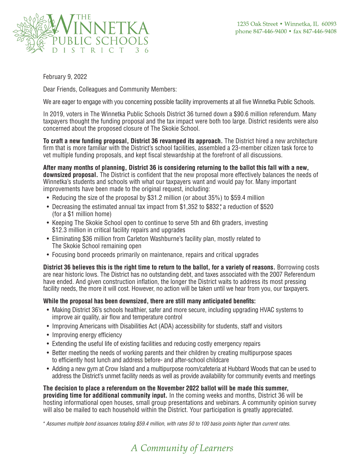

February 9, 2022

Dear Friends, Colleagues and Community Members:

We are eager to engage with you concerning possible facility improvements at all five Winnetka Public Schools.

In 2019, voters in The Winnetka Public Schools District 36 turned down a \$90.6 million referendum. Many taxpayers thought the funding proposal and the tax impact were both too large. District residents were also concerned about the proposed closure of The Skokie School.

**To craft a new funding proposal, District 36 revamped its approach.** The District hired a new architecture firm that is more familiar with the District's school facilities, assembled a 23-member citizen task force to vet multiple funding proposals, and kept fiscal stewardship at the forefront of all discussions.

**After many months of planning, District 36 is considering returning to the ballot this fall with a new, downsized proposal.** The District is confident that the new proposal more effectively balances the needs of Winnetka's students and schools with what our taxpayers want and would pay for. Many important improvements have been made to the original request, including:

- Reducing the size of the proposal by \$31.2 million (or about 35%) to \$59.4 million
- Decreasing the estimated annual tax impact from \$1,352 to \$832\* a reduction of \$520 (for a \$1 million home)
- Keeping The Skokie School open to continue to serve 5th and 6th graders, investing \$12.3 million in critical facility repairs and upgrades
- Eliminating \$36 million from Carleton Washburne's facility plan, mostly related to The Skokie School remaining open
- Focusing bond proceeds primarily on maintenance, repairs and critical upgrades

**District 36 believes this is the right time to return to the ballot, for a variety of reasons.** Borrowing costs are near historic lows. The District has no outstanding debt, and taxes associated with the 2007 Referendum have ended. And given construction inflation, the longer the District waits to address its most pressing facility needs, the more it will cost. However, no action will be taken until we hear from you, our taxpayers.

## **While the proposal has been downsized, there are still many anticipated benefits:**

- Making District 36's schools healthier, safer and more secure, including upgrading HVAC systems to improve air quality, air flow and temperature control
- Improving Americans with Disabilities Act (ADA) accessibility for students, staff and visitors
- Improving energy efficiency
- Extending the useful life of existing facilities and reducing costly emergency repairs
- Better meeting the needs of working parents and their children by creating multipurpose spaces to efficiently host lunch and address before- and after-school childcare
- Adding a new gym at Crow Island and a multipurpose room/cafeteria at Hubbard Woods that can be used to address the District's unmet facility needs as well as provide availability for community events and meetings

**The decision to place a referendum on the November 2022 ballot will be made this summer, providing time for additional community input.** In the coming weeks and months, District 36 will be hosting informational open houses, small group presentations and webinars. A community opinion survey will also be mailed to each household within the District. Your participation is greatly appreciated.

*\* Assumes multiple bond issuances totaling \$59.4 million, with rates 50 to 100 basis points higher than current rates.*

## A Community of Learners